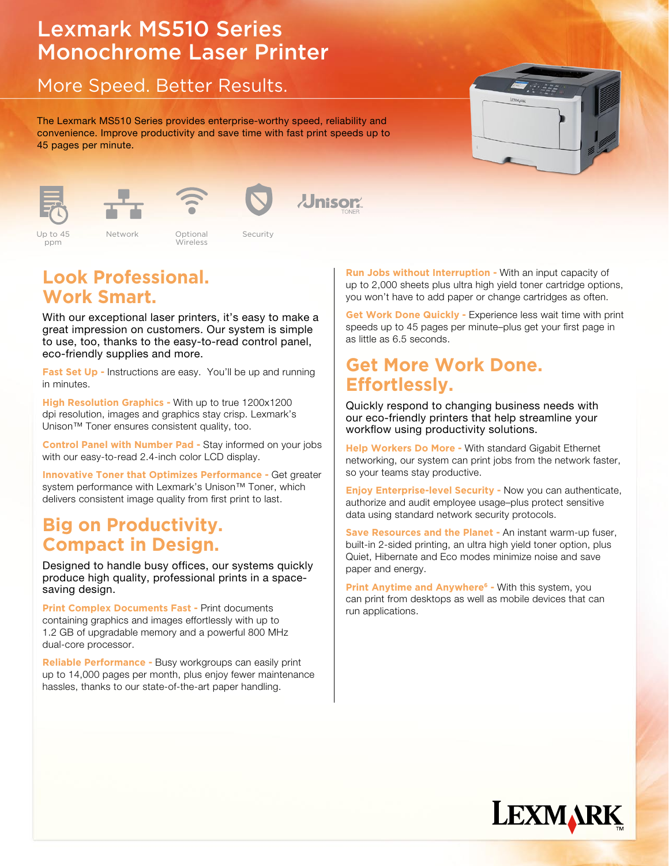# Lexmark MS510 Series Monochrome Laser Printer

## More Speed. Better Results.

The Lexmark MS510 Series provides enterprise-worthy speed, reliability and convenience. Improve productivity and save time with fast print speeds up to 45 pages per minute.





Up to 45 ppm





Wireless

Network Optional Security Color 2.4" LCD Standard Color 2.4" LCD Standard Color 2.4" LCD Standard Color 2.4" LCD Standard Color 2.4" LCD Up to 35ppm Network Eco-mode Security USB 2004 **Color 2.4 Up to 45** Network **Color 2.4 Optional Security** Up to 45 Network Dptional Security

*Jnisor* 

# **Look Professional. Work Smart.**

With our exceptional laser printers, it's easy to make a great impression on customers. Our system is simple to use, too, thanks to the easy-to-read control panel, eco-friendly supplies and more.

**Fast Set Up - Instructions are easy. You'll be up and running** in minutes.

**High Resolution Graphics -** With up to true 1200x1200 dpi resolution, images and graphics stay crisp. Lexmark's Unison™ Toner ensures consistent quality, too.

**Control Panel with Number Pad -** Stay informed on your jobs with our easy-to-read 2.4-inch color LCD display.

**Innovative Toner that Optimizes Performance -** Get greater system performance with Lexmark's Unison™ Toner, which delivers consistent image quality from first print to last.

# **Big on Productivity. Compact in Design.**

Designed to handle busy offices, our systems quickly produce high quality, professional prints in a spacesaving design.

**Print Complex Documents Fast - Print documents** containing graphics and images effortlessly with up to 1.2 GB of upgradable memory and a powerful 800 MHz dual-core processor.

**Reliable Performance -** Busy workgroups can easily print up to 14,000 pages per month, plus enjoy fewer maintenance hassles, thanks to our state-of-the-art paper handling.

**Run Jobs without Interruption -** With an input capacity of up to 2,000 sheets plus ultra high yield toner cartridge options, you won't have to add paper or change cartridges as often.

**Get Work Done Quickly - Experience less wait time with print** speeds up to 45 pages per minute–plus get your first page in as little as 6.5 seconds.

## **Get More Work Done. Effortlessly.**

Quickly respond to changing business needs with our eco-friendly printers that help streamline your workflow using productivity solutions.

**Help Workers Do More -** With standard Gigabit Ethernet networking, our system can print jobs from the network faster, so your teams stay productive.

**Enjoy Enterprise-level Security -** Now you can authenticate, authorize and audit employee usage–plus protect sensitive data using standard network security protocols.

**Save Resources and the Planet -** An instant warm-up fuser, built-in 2-sided printing, an ultra high yield toner option, plus Quiet, Hibernate and Eco modes minimize noise and save paper and energy.

**Print Anytime and Anywhere<sup>6</sup> - With this system, you** can print from desktops as well as mobile devices that can run applications.